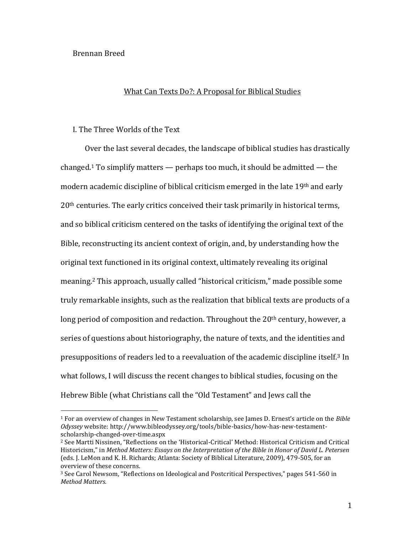# Brennan Breed

 $\overline{a}$ 

#### What Can Texts Do?: A Proposal for Biblical Studies

#### I. The Three Worlds of the Text

Over the last several decades, the landscape of biblical studies has drastically changed.<sup>1</sup> To simplify matters  $-$  perhaps too much, it should be admitted  $-$  the modern academic discipline of biblical criticism emerged in the late 19th and early 20th centuries. The early critics conceived their task primarily in historical terms, and so biblical criticism centered on the tasks of identifying the original text of the Bible, reconstructing its ancient context of origin, and, by understanding how the original text functioned in its original context, ultimately revealing its original meaning.<sup>2</sup> This approach, usually called "historical criticism," made possible some truly remarkable insights, such as the realization that biblical texts are products of a long period of composition and redaction. Throughout the  $20<sup>th</sup>$  century, however, a series of questions about historiography, the nature of texts, and the identities and presuppositions of readers led to a reevaluation of the academic discipline itself.<sup>3</sup> In what follows, I will discuss the recent changes to biblical studies, focusing on the Hebrew Bible (what Christians call the "Old Testament" and Jews call the

<sup>1</sup> For an overview of changes in New Testament scholarship, see James D. Ernest's article on the *Bible Odyssey* website: http://www.bibleodyssey.org/tools/bible-basics/how-has-new-testamentscholarship-changed-over-time.aspx

<sup>2</sup> See Martti Nissinen, "Reflections on the 'Historical-Critical' Method: Historical Criticism and Critical Historicism," in *Method Matters: Essays on the Interpretation of the Bible in Honor of David L. Petersen* (eds. J. LeMon and K. H. Richards; Atlanta: Society of Biblical Literature, 2009), 479-505, for an overview of these concerns.

<sup>3</sup> See Carol Newsom, "Reflections on Ideological and Postcritical Perspectives," pages 541-560 in *Method Matters.*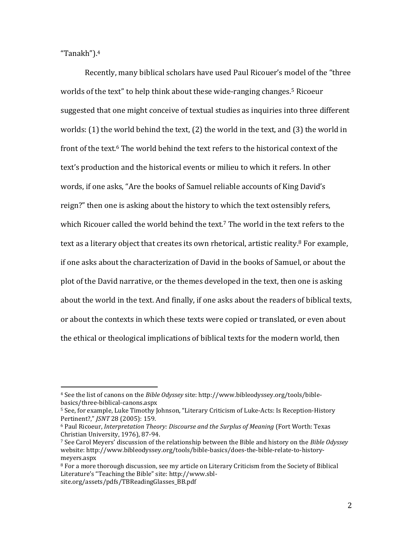"Tanakh").<sup>4</sup>

l

Recently, many biblical scholars have used Paul Ricouer's model of the "three worlds of the text" to help think about these wide-ranging changes.<sup>5</sup> Ricoeur suggested that one might conceive of textual studies as inquiries into three different worlds: (1) the world behind the text, (2) the world in the text, and (3) the world in front of the text.<sup>6</sup> The world behind the text refers to the historical context of the text's production and the historical events or milieu to which it refers. In other words, if one asks, "Are the books of Samuel reliable accounts of King David's reign?" then one is asking about the history to which the text ostensibly refers, which Ricouer called the world behind the text.<sup>7</sup> The world in the text refers to the text as a literary object that creates its own rhetorical, artistic reality.<sup>8</sup> For example, if one asks about the characterization of David in the books of Samuel, or about the plot of the David narrative, or the themes developed in the text, then one is asking about the world in the text. And finally, if one asks about the readers of biblical texts, or about the contexts in which these texts were copied or translated, or even about the ethical or theological implications of biblical texts for the modern world, then

<sup>4</sup> See the list of canons on the *Bible Odyssey* site: http://www.bibleodyssey.org/tools/biblebasics/three-biblical-canons.aspx

<sup>5</sup> See, for example, Luke Timothy Johnson, "Literary Criticism of Luke-Acts: Is Reception-History Pertinent?," *JSNT* 28 (2005): 159.

<sup>6</sup> Paul Ricoeur, *Interpretation Theory: Discourse and the Surplus of Meaning* (Fort Worth: Texas Christian University, 1976), 87-94.

<sup>7</sup> See Carol Meyers' discussion of the relationship between the Bible and history on the *Bible Odyssey*  website: http://www.bibleodyssey.org/tools/bible-basics/does-the-bible-relate-to-historymeyers.aspx

<sup>&</sup>lt;sup>8</sup> For a more thorough discussion, see my article on Literary Criticism from the Society of Biblical Literature's "Teaching the Bible" site: http://www.sblsite.org/assets/pdfs/TBReadingGlasses\_BB.pdf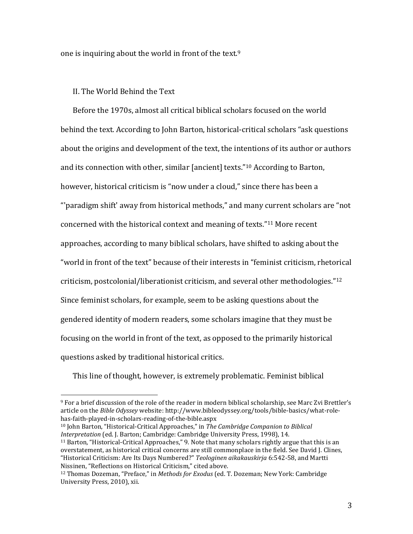one is inquiring about the world in front of the text.<sup>9</sup>

### II. The World Behind the Text

 $\overline{a}$ 

Before the 1970s, almost all critical biblical scholars focused on the world behind the text. According to John Barton, historical-critical scholars "ask questions about the origins and development of the text, the intentions of its author or authors and its connection with other, similar [ancient] texts."<sup>10</sup> According to Barton, however, historical criticism is "now under a cloud," since there has been a "'paradigm shift' away from historical methods," and many current scholars are "not concerned with the historical context and meaning of texts."<sup>11</sup> More recent approaches, according to many biblical scholars, have shifted to asking about the "world in front of the text" because of their interests in "feminist criticism, rhetorical criticism, postcolonial/liberationist criticism, and several other methodologies."<sup>12</sup> Since feminist scholars, for example, seem to be asking questions about the gendered identity of modern readers, some scholars imagine that they must be focusing on the world in front of the text, as opposed to the primarily historical questions asked by traditional historical critics.

This line of thought, however, is extremely problematic. Feminist biblical

<sup>9</sup> For a brief discussion of the role of the reader in modern biblical scholarship, see Marc Zvi Brettler's article on the *Bible Odyssey* website: http://www.bibleodyssey.org/tools/bible-basics/what-rolehas-faith-played-in-scholars-reading-of-the-bible.aspx

<sup>10</sup> John Barton, "Historical-Critical Approaches," in *The Cambridge Companion to Biblical Interpretation* (ed. J. Barton; Cambridge: Cambridge University Press, 1998), 14.

<sup>&</sup>lt;sup>11</sup> Barton, "Historical-Critical Approaches," 9. Note that many scholars rightly argue that this is an overstatement, as historical critical concerns are still commonplace in the field. See David J. Clines, "Historical Criticism: Are Its Days Numbered?" *Teologinen aikakauskirja* 6:542-58, and Martti Nissinen, "Reflections on Historical Criticism," cited above.

<sup>12</sup> Thomas Dozeman, "Preface," in *Methods for Exodus* (ed. T. Dozeman; New York: Cambridge University Press, 2010), xii.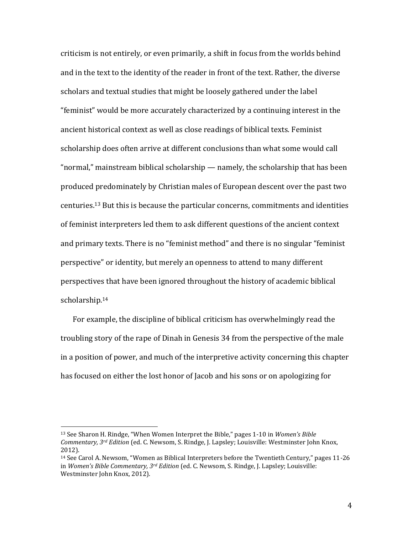criticism is not entirely, or even primarily, a shift in focus from the worlds behind and in the text to the identity of the reader in front of the text. Rather, the diverse scholars and textual studies that might be loosely gathered under the label "feminist" would be more accurately characterized by a continuing interest in the ancient historical context as well as close readings of biblical texts. Feminist scholarship does often arrive at different conclusions than what some would call "normal," mainstream biblical scholarship — namely, the scholarship that has been produced predominately by Christian males of European descent over the past two centuries. <sup>13</sup> But this is because the particular concerns, commitments and identities of feminist interpreters led them to ask different questions of the ancient context and primary texts. There is no "feminist method" and there is no singular "feminist perspective" or identity, but merely an openness to attend to many different perspectives that have been ignored throughout the history of academic biblical scholarship. 14

For example, the discipline of biblical criticism has overwhelmingly read the troubling story of the rape of Dinah in Genesis 34 from the perspective of the male in a position of power, and much of the interpretive activity concerning this chapter has focused on either the lost honor of Jacob and his sons or on apologizing for

<sup>13</sup> See Sharon H. Rindge, "When Women Interpret the Bible," pages 1-10 in *Women's Bible Commentary, 3rd Edition* (ed. C. Newsom, S. Rindge, J. Lapsley; Louisville: Westminster John Knox, 2012).

<sup>14</sup> See Carol A. Newsom, "Women as Biblical Interpreters before the Twentieth Century," pages 11-26 in *Women's Bible Commentary, 3rd Edition* (ed. C. Newsom, S. Rindge, J. Lapsley; Louisville: Westminster John Knox, 2012).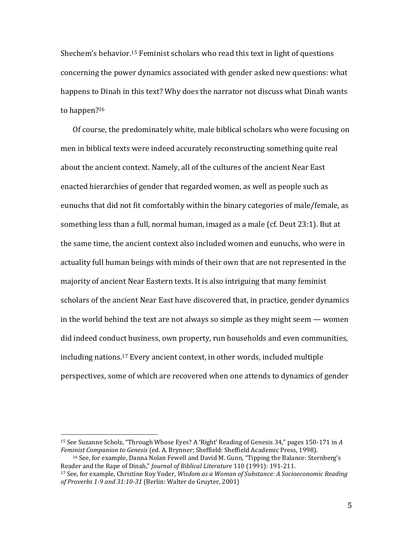Shechem's behavior. <sup>15</sup> Feminist scholars who read this text in light of questions concerning the power dynamics associated with gender asked new questions: what happens to Dinah in this text? Why does the narrator not discuss what Dinah wants to happen?<sup>16</sup>

Of course, the predominately white, male biblical scholars who were focusing on men in biblical texts were indeed accurately reconstructing something quite real about the ancient context. Namely, all of the cultures of the ancient Near East enacted hierarchies of gender that regarded women, as well as people such as eunuchs that did not fit comfortably within the binary categories of male/female, as something less than a full, normal human, imaged as a male (cf. Deut 23:1). But at the same time, the ancient context also included women and eunuchs, who were in actuality full human beings with minds of their own that are not represented in the majority of ancient Near Eastern texts. It is also intriguing that many feminist scholars of the ancient Near East have discovered that, in practice, gender dynamics in the world behind the text are not always so simple as they might seem — women did indeed conduct business, own property, run households and even communities, including nations.<sup>17</sup> Every ancient context, in other words, included multiple perspectives, some of which are recovered when one attends to dynamics of gender

l

<sup>15</sup> See Suzanne Scholz, "Through Whose Eyes? A 'Right' Reading of Genesis 34," pages 150-171 in *A Feminist Companion to Genesis* (ed. A. Brynner; Sheffield: Sheffield Academic Press, 1998).

<sup>16</sup> See, for example, Danna Nolan Fewell and David M. Gunn, "Tipping the Balance: Sternberg's Reader and the Rape of Dinah," *Journal of Biblical Literature* 110 (1991): 191-211.

<sup>17</sup> See, for example, Christine Roy Yoder, *Wisdom as a Woman of Substance: A Socioeconomic Reading of Proverbs 1-9 and 31:10-31* (Berlin: Walter de Gruyter, 2001)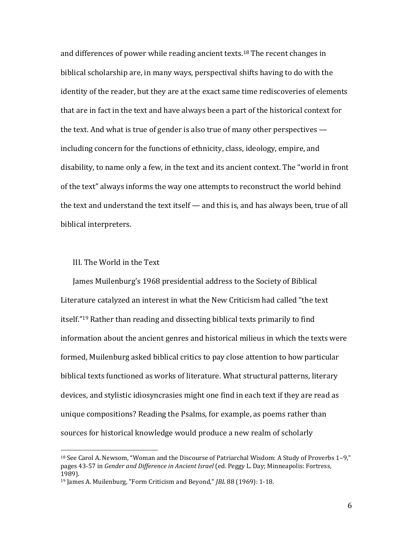and differences of power while reading ancient texts. <sup>18</sup> The recent changes in biblical scholarship are, in many ways, perspectival shifts having to do with the identity of the reader, but they are at the exact same time rediscoveries of elements that are in fact in the text and have always been a part of the historical context for the text. And what is true of gender is also true of many other perspectives including concern for the functions of ethnicity, class, ideology, empire, and disability, to name only a few, in the text and its ancient context. The "world in front of the text" always informs the way one attempts to reconstruct the world behind the text and understand the text itself — and this is, and has always been, true of all biblical interpreters.

### III. The World in the Text

 $\overline{a}$ 

James Muilenburg's 1968 presidential address to the Society of Biblical Literature catalyzed an interest in what the New Criticism had called "the text itself."<sup>19</sup> Rather than reading and dissecting biblical texts primarily to find information about the ancient genres and historical milieus in which the texts were formed, Muilenburg asked biblical critics to pay close attention to how particular biblical texts functioned as works of literature. What structural patterns, literary devices, and stylistic idiosyncrasies might one find in each text if they are read as unique compositions? Reading the Psalms, for example, as poems rather than sources for historical knowledge would produce a new realm of scholarly

<sup>18</sup> See Carol A. Newsom, "Woman and the Discourse of Patriarchal Wisdom: A Study of Proverbs 1–9," pages 43-57 in *Gender and Difference in Ancient Israel* (ed. Peggy L. Day; Minneapolis: Fortress, 1989).

<sup>19</sup> James A. Muilenburg, "Form Criticism and Beyond," *JBL* 88 (1969): 1-18.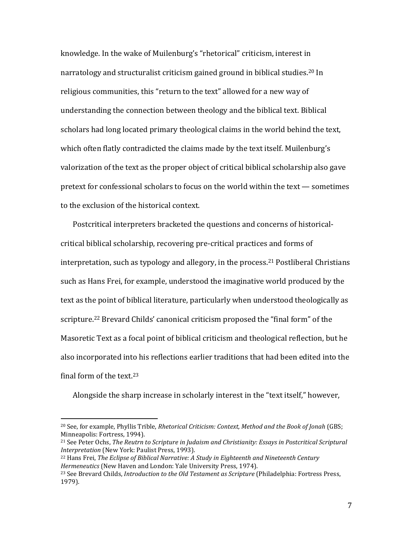knowledge. In the wake of Muilenburg's "rhetorical" criticism, interest in narratology and structuralist criticism gained ground in biblical studies. <sup>20</sup> In religious communities, this "return to the text" allowed for a new way of understanding the connection between theology and the biblical text. Biblical scholars had long located primary theological claims in the world behind the text, which often flatly contradicted the claims made by the text itself. Muilenburg's valorization of the text as the proper object of critical biblical scholarship also gave pretext for confessional scholars to focus on the world within the text — sometimes to the exclusion of the historical context.

Postcritical interpreters bracketed the questions and concerns of historicalcritical biblical scholarship, recovering pre-critical practices and forms of interpretation, such as typology and allegory, in the process.<sup>21</sup> Postliberal Christians such as Hans Frei, for example, understood the imaginative world produced by the text as the point of biblical literature, particularly when understood theologically as scripture.<sup>22</sup> Brevard Childs' canonical criticism proposed the "final form" of the Masoretic Text as a focal point of biblical criticism and theological reflection, but he also incorporated into his reflections earlier traditions that had been edited into the final form of the text.<sup>23</sup>

Alongside the sharp increase in scholarly interest in the "text itself," however,

<sup>20</sup> See, for example, Phyllis Trible, *Rhetorical Criticism: Context, Method and the Book of Jonah* (GBS; Minneapolis: Fortress, 1994).

<sup>21</sup> See Peter Ochs, *The Reutrn to Scripture in Judaism and Christianity: Essays in Postcritical Scriptural Interpretation* (New York: Paulist Press, 1993).

<sup>22</sup> Hans Frei, *The Eclipse of Biblical Narrative: A Study in Eighteenth and Nineteenth Century Hermeneutics* (New Haven and London: Yale University Press, 1974).

<sup>23</sup> See Brevard Childs, *Introduction to the Old Testament as Scripture* (Philadelphia: Fortress Press, 1979).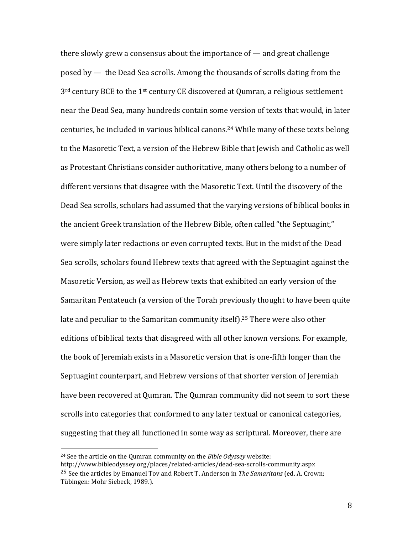there slowly grew a consensus about the importance of — and great challenge posed by — the Dead Sea scrolls. Among the thousands of scrolls dating from the 3<sup>rd</sup> century BCE to the 1<sup>st</sup> century CE discovered at Qumran, a religious settlement near the Dead Sea, many hundreds contain some version of texts that would, in later centuries, be included in various biblical canons.<sup>24</sup> While many of these texts belong to the Masoretic Text, a version of the Hebrew Bible that Jewish and Catholic as well as Protestant Christians consider authoritative, many others belong to a number of different versions that disagree with the Masoretic Text. Until the discovery of the Dead Sea scrolls, scholars had assumed that the varying versions of biblical books in the ancient Greek translation of the Hebrew Bible, often called "the Septuagint," were simply later redactions or even corrupted texts. But in the midst of the Dead Sea scrolls, scholars found Hebrew texts that agreed with the Septuagint against the Masoretic Version, as well as Hebrew texts that exhibited an early version of the Samaritan Pentateuch (a version of the Torah previously thought to have been quite late and peculiar to the Samaritan community itself).<sup>25</sup> There were also other editions of biblical texts that disagreed with all other known versions. For example, the book of Jeremiah exists in a Masoretic version that is one-fifth longer than the Septuagint counterpart, and Hebrew versions of that shorter version of Jeremiah have been recovered at Qumran. The Qumran community did not seem to sort these scrolls into categories that conformed to any later textual or canonical categories, suggesting that they all functioned in some way as scriptural. Moreover, there are

l

<sup>24</sup> See the article on the Qumran community on the *Bible Odyssey* website:

http://www.bibleodyssey.org/places/related-articles/dead-sea-scrolls-community.aspx 25 See the articles by Emanuel Tov and Robert T. Anderson in *The Samaritans* (ed. A. Crown; Tübingen: Mohr Siebeck, 1989.).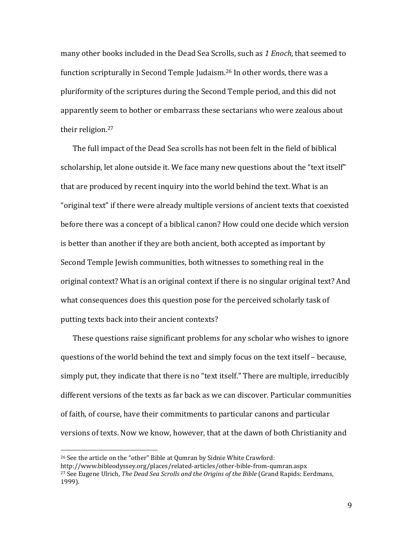many other books included in the Dead Sea Scrolls, such as *1 Enoch,* that seemed to function scripturally in Second Temple Judaism.<sup>26</sup> In other words, there was a pluriformity of the scriptures during the Second Temple period, and this did not apparently seem to bother or embarrass these sectarians who were zealous about their religion.<sup>27</sup>

The full impact of the Dead Sea scrolls has not been felt in the field of biblical scholarship, let alone outside it. We face many new questions about the "text itself" that are produced by recent inquiry into the world behind the text. What is an "original text" if there were already multiple versions of ancient texts that coexisted before there was a concept of a biblical canon? How could one decide which version is better than another if they are both ancient, both accepted as important by Second Temple Jewish communities, both witnesses to something real in the original context? What is an original context if there is no singular original text? And what consequences does this question pose for the perceived scholarly task of putting texts back into their ancient contexts?

These questions raise significant problems for any scholar who wishes to ignore questions of the world behind the text and simply focus on the text itself – because, simply put, they indicate that there is no "text itself." There are multiple, irreducibly different versions of the texts as far back as we can discover. Particular communities of faith, of course, have their commitments to particular canons and particular versions of texts. Now we know, however, that at the dawn of both Christianity and

<sup>26</sup> See the article on the "other" Bible at Qumran by Sidnie White Crawford:

http://www.bibleodyssey.org/places/related-articles/other-bible-from-qumran.aspx <sup>27</sup> See Eugene Ulrich, *The Dead Sea Scrolls and the Origins of the Bible* (Grand Rapids: Eerdmans, 1999).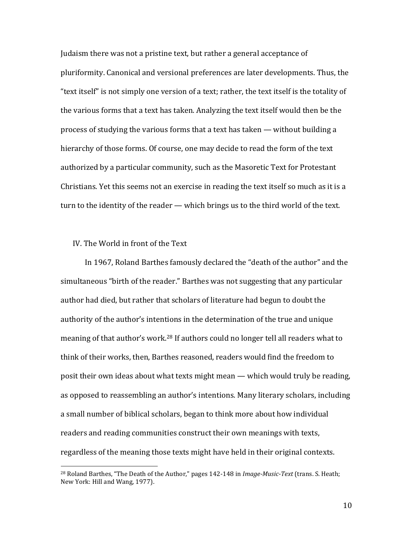Judaism there was not a pristine text, but rather a general acceptance of pluriformity. Canonical and versional preferences are later developments. Thus, the "text itself" is not simply one version of a text; rather, the text itself is the totality of the various forms that a text has taken. Analyzing the text itself would then be the process of studying the various forms that a text has taken — without building a hierarchy of those forms. Of course, one may decide to read the form of the text authorized by a particular community, such as the Masoretic Text for Protestant Christians. Yet this seems not an exercise in reading the text itself so much as it is a turn to the identity of the reader — which brings us to the third world of the text.

# IV. The World in front of the Text

 $\overline{a}$ 

In 1967, Roland Barthes famously declared the "death of the author" and the simultaneous "birth of the reader." Barthes was not suggesting that any particular author had died, but rather that scholars of literature had begun to doubt the authority of the author's intentions in the determination of the true and unique meaning of that author's work.<sup>28</sup> If authors could no longer tell all readers what to think of their works, then, Barthes reasoned, readers would find the freedom to posit their own ideas about what texts might mean — which would truly be reading, as opposed to reassembling an author's intentions. Many literary scholars, including a small number of biblical scholars, began to think more about how individual readers and reading communities construct their own meanings with texts, regardless of the meaning those texts might have held in their original contexts.

10

<sup>28</sup> Roland Barthes, "The Death of the Author," pages 142-148 in *Image-Music-Text* (trans. S. Heath; New York: Hill and Wang, 1977).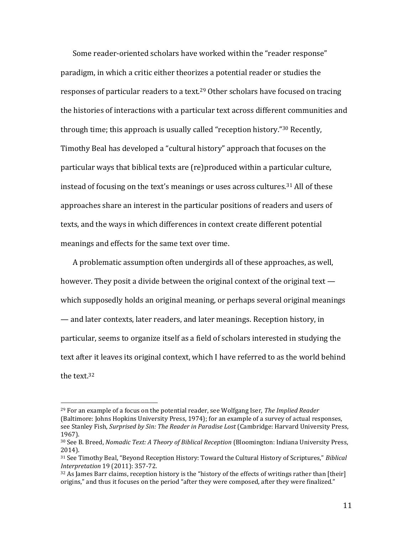Some reader-oriented scholars have worked within the "reader response" paradigm, in which a critic either theorizes a potential reader or studies the responses of particular readers to a text.<sup>29</sup> Other scholars have focused on tracing the histories of interactions with a particular text across different communities and through time; this approach is usually called "reception history."<sup>30</sup> Recently, Timothy Beal has developed a "cultural history" approach that focuses on the particular ways that biblical texts are (re)produced within a particular culture, instead of focusing on the text's meanings or uses across cultures.<sup>31</sup> All of these approaches share an interest in the particular positions of readers and users of texts, and the ways in which differences in context create different potential meanings and effects for the same text over time.

A problematic assumption often undergirds all of these approaches, as well, however. They posit a divide between the original context of the original text which supposedly holds an original meaning, or perhaps several original meanings — and later contexts, later readers, and later meanings. Reception history, in particular, seems to organize itself as a field of scholars interested in studying the text after it leaves its original context, which I have referred to as the world behind the text.<sup>32</sup>

<sup>29</sup> For an example of a focus on the potential reader, see Wolfgang Iser, *The Implied Reader*  (Baltimore: Johns Hopkins University Press, 1974); for an example of a survey of actual responses, see Stanley Fish, *Surprised by Sin: The Reader in Paradise Lost* (Cambridge: Harvard University Press, 1967).

<sup>30</sup> See B. Breed, *Nomadic Text: A Theory of Biblical Reception* (Bloomington: Indiana University Press, 2014).

<sup>31</sup> See Timothy Beal, "Beyond Reception History: Toward the Cultural History of Scriptures," *Biblical Interpretation* 19 (2011): 357-72.

 $32$  As James Barr claims, reception history is the "history of the effects of writings rather than [their] origins," and thus it focuses on the period "after they were composed, after they were finalized."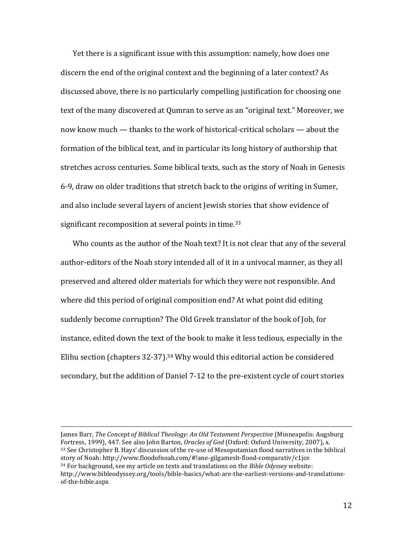Yet there is a significant issue with this assumption: namely, how does one discern the end of the original context and the beginning of a later context? As discussed above, there is no particularly compelling justification for choosing one text of the many discovered at Qumran to serve as an "original text." Moreover, we now know much — thanks to the work of historical-critical scholars — about the formation of the biblical text, and in particular its long history of authorship that stretches across centuries. Some biblical texts, such as the story of Noah in Genesis 6-9, draw on older traditions that stretch back to the origins of writing in Sumer, and also include several layers of ancient Jewish stories that show evidence of significant recomposition at several points in time.<sup>33</sup>

Who counts as the author of the Noah text? It is not clear that any of the several author-editors of the Noah story intended all of it in a univocal manner, as they all preserved and altered older materials for which they were not responsible. And where did this period of original composition end? At what point did editing suddenly become corruption? The Old Greek translator of the book of Job, for instance, edited down the text of the book to make it less tedious, especially in the Elihu section (chapters 32-37).<sup>34</sup> Why would this editorial action be considered secondary, but the addition of Daniel 7-12 to the pre-existent cycle of court stories

James Barr, *The Concept of Biblical Theology: An Old Testament Perspective* (Minneapolis: Augsburg Fortress, 1999), 447. See also John Barton, *Oracles of God* (Oxford: Oxford University, 2007), x. <sup>33</sup> See Christopher B. Hays' discussion of the re-use of Mesopotamian flood narratives in the biblical story of Noah: http://www.floodofnoah.com/#!ane-gilgamesh-flood-comparativ/c1jce <sup>34</sup> For background, see my article on texts and translations on the *Bible Odyssey* website: http://www.bibleodyssey.org/tools/bible-basics/what-are-the-earliest-versions-and-translationsof-the-bible.aspx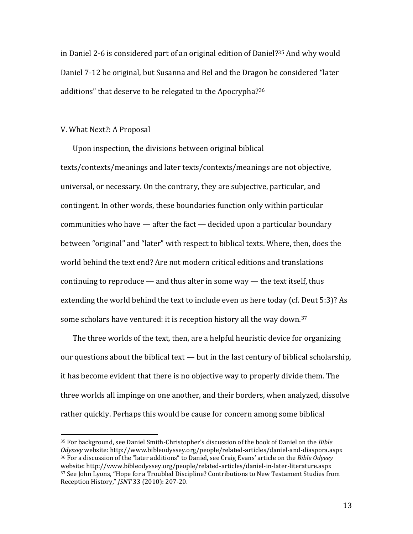in Daniel 2-6 is considered part of an original edition of Daniel? <sup>35</sup> And why would Daniel 7-12 be original, but Susanna and Bel and the Dragon be considered "later additions" that deserve to be relegated to the Apocrypha?<sup>36</sup>

### V. What Next?: A Proposal

l

Upon inspection, the divisions between original biblical texts/contexts/meanings and later texts/contexts/meanings are not objective, universal, or necessary. On the contrary, they are subjective, particular, and contingent. In other words, these boundaries function only within particular communities who have — after the fact — decided upon a particular boundary between "original" and "later" with respect to biblical texts. Where, then, does the world behind the text end? Are not modern critical editions and translations continuing to reproduce — and thus alter in some way — the text itself, thus extending the world behind the text to include even us here today (cf. Deut 5:3)? As some scholars have ventured: it is reception history all the way down.<sup>37</sup>

The three worlds of the text, then, are a helpful heuristic device for organizing our questions about the biblical text — but in the last century of biblical scholarship, it has become evident that there is no objective way to properly divide them. The three worlds all impinge on one another, and their borders, when analyzed, dissolve rather quickly. Perhaps this would be cause for concern among some biblical

<sup>35</sup> For background, see Daniel Smith-Christopher's discussion of the book of Daniel on the *Bible Odyssey* website: http://www.bibleodyssey.org/people/related-articles/daniel-and-diaspora.aspx <sup>36</sup> For a discussion of the "later additions" to Daniel, see Craig Evans' article on the *Bible Odyeey*  website: http://www.bibleodyssey.org/people/related-articles/daniel-in-later-literature.aspx <sup>37</sup> See John Lyons, **"**Hope for a Troubled Discipline? Contributions to New Testament Studies from Reception History," *JSNT* 33 (2010): 207-20.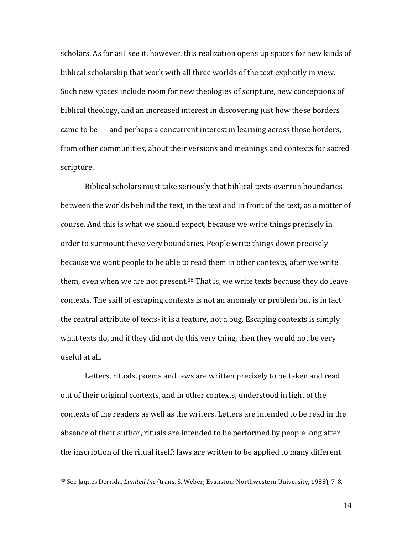scholars. As far as I see it, however, this realization opens up spaces for new kinds of biblical scholarship that work with all three worlds of the text explicitly in view. Such new spaces include room for new theologies of scripture, new conceptions of biblical theology, and an increased interest in discovering just how these borders came to be — and perhaps a concurrent interest in learning across those borders, from other communities, about their versions and meanings and contexts for sacred scripture.

Biblical scholars must take seriously that biblical texts overrun boundaries between the worlds behind the text, in the text and in front of the text, as a matter of course. And this is what we should expect, because we write things precisely in order to surmount these very boundaries. People write things down precisely because we want people to be able to read them in other contexts, after we write them, even when we are not present. $38$  That is, we write texts because they do leave contexts. The skill of escaping contexts is not an anomaly or problem but is in fact the central attribute of texts- it is a feature, not a bug. Escaping contexts is simply what texts do, and if they did not do this very thing, then they would not be very useful at all.

Letters, rituals, poems and laws are written precisely to be taken and read out of their original contexts, and in other contexts, understood in light of the contexts of the readers as well as the writers. Letters are intended to be read in the absence of their author, rituals are intended to be performed by people long after the inscription of the ritual itself; laws are written to be applied to many different

l

14

<sup>38</sup> See Jaques Derrida, *Limited Inc* (trans. S. Weber; Evanston: Northwestern University, 1988), 7-8.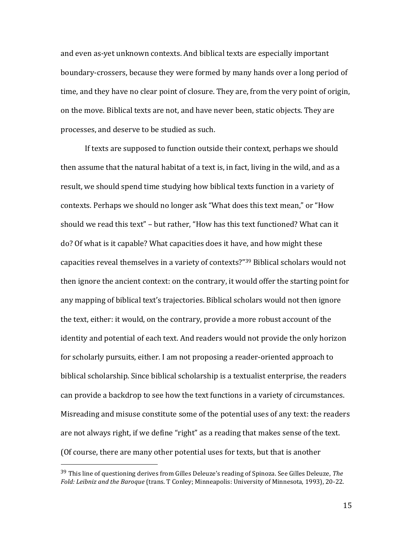and even as-yet unknown contexts. And biblical texts are especially important boundary-crossers, because they were formed by many hands over a long period of time, and they have no clear point of closure. They are, from the very point of origin, on the move. Biblical texts are not, and have never been, static objects. They are processes, and deserve to be studied as such.

If texts are supposed to function outside their context, perhaps we should then assume that the natural habitat of a text is, in fact, living in the wild, and as a result, we should spend time studying how biblical texts function in a variety of contexts. Perhaps we should no longer ask "What does this text mean," or "How should we read this text" – but rather, "How has this text functioned? What can it do? Of what is it capable? What capacities does it have, and how might these capacities reveal themselves in a variety of contexts?"<sup>39</sup> Biblical scholars would not then ignore the ancient context: on the contrary, it would offer the starting point for any mapping of biblical text's trajectories. Biblical scholars would not then ignore the text, either: it would, on the contrary, provide a more robust account of the identity and potential of each text. And readers would not provide the only horizon for scholarly pursuits, either. I am not proposing a reader-oriented approach to biblical scholarship. Since biblical scholarship is a textualist enterprise, the readers can provide a backdrop to see how the text functions in a variety of circumstances. Misreading and misuse constitute some of the potential uses of any text: the readers are not always right, if we define "right" as a reading that makes sense of the text. (Of course, there are many other potential uses for texts, but that is another

 $\overline{a}$ 

15

<sup>39</sup> This line of questioning derives from Gilles Deleuze's reading of Spinoza. See Gilles Deleuze, *The Fold: Leibniz and the Baroque* (trans. T Conley; Minneapolis: University of Minnesota, 1993), 20-22.